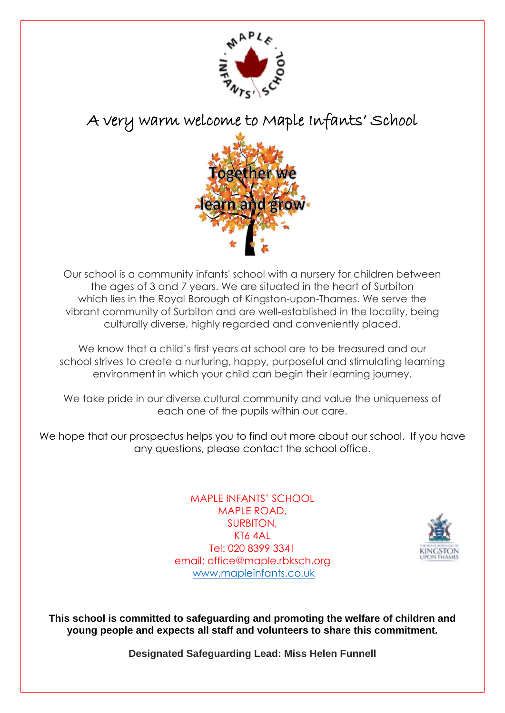

A very warm welcome to Maple Infants' School



Our school is a community infants' school with a nursery for children between the ages of 3 and 7 years. We are situated in the heart of Surbiton which lies in the Royal Borough of Kingston-upon-Thames. We serve the vibrant community of Surbiton and are well-established in the locality, being culturally diverse, highly regarded and conveniently placed.

We know that a child's first years at school are to be treasured and our school strives to create a nurturing, happy, purposeful and stimulating learning environment in which your child can begin their learning journey.

We take pride in our diverse cultural community and value the uniqueness of each one of the pupils within our care.

We hope that our prospectus helps you to find out more about our school. If you have any questions, please contact the school office.

> MAPLE INFANTS' SCHOOL MAPLE ROAD, SURBITON, KT6 4AL Tel: 020 8399 3341 email: office@maple.rbksch.org [www.mapleinfants.co.uk](http://www.mapleinfants.co.uk/)



**This school is committed to safeguarding and promoting the welfare of children and young people and expects all staff and volunteers to share this commitment.**

**Designated Safeguarding Lead: Miss Helen Funnell**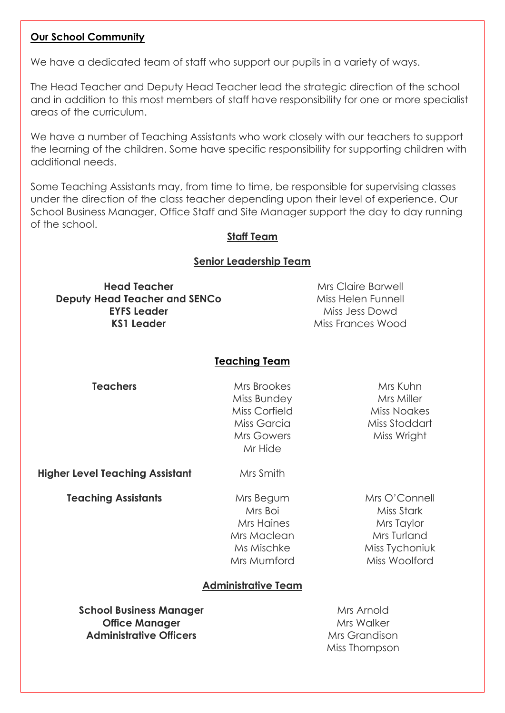#### **Our School Community**

We have a dedicated team of staff who support our pupils in a variety of ways.

The Head Teacher and Deputy Head Teacher lead the strategic direction of the school and in addition to this most members of staff have responsibility for one or more specialist areas of the curriculum.

We have a number of Teaching Assistants who work closely with our teachers to support the learning of the children. Some have specific responsibility for supporting children with additional needs.

Some Teaching Assistants may, from time to time, be responsible for supervising classes under the direction of the class teacher depending upon their level of experience. Our School Business Manager, Office Staff and Site Manager support the day to day running of the school.

#### **Staff Team**

#### **Senior Leadership Team**

**Head Teacher** Mrs Claire Barwell **Deputy Head Teacher and SENCo** Miss Helen Funnell **EYFS Leader** Miss Jess Dowd **KS1 Leader** Miss Frances Wood

#### **Teaching Team**

**Teachers** Mrs Brookes Miss Bundey Miss Corfield Miss Garcia Mrs Gowers Mr Hide

Mrs Kuhn Mrs Miller Miss Noakes Miss Stoddart Miss Wright

**Higher Level Teaching Assistant** Mrs Smith

**Teaching Assistants** Mrs Begum Mrs Boi Mrs Haines Mrs Maclean Ms Mischke Mrs Mumford

Mrs O'Connell Miss Stark Mrs Taylor Mrs Turland Miss Tychoniuk Miss Woolford

#### **Administrative Team**

**School Business Manager** Manager Music Manager Music Music Music Music Music Music Music Music Music Music Music Music Music Music Music Music Music Music Music Music Music Music Music Music Music Music Music Music Music **Office Manager** Mrs Walker **Administrative Officers** Mrs Grandison

Miss Thompson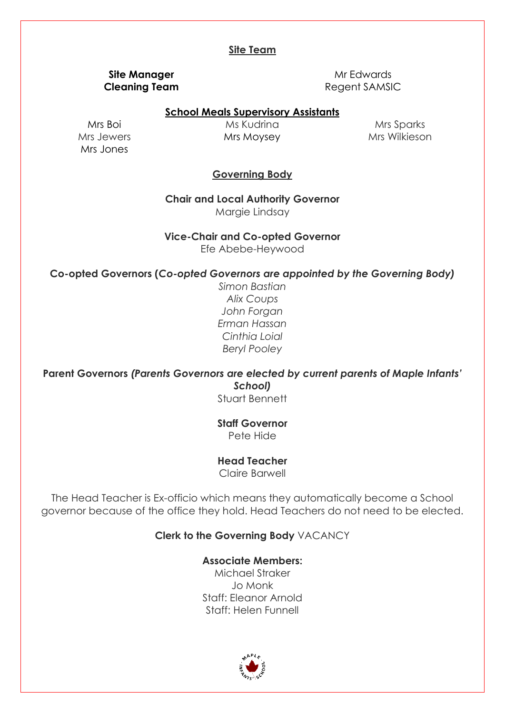#### **Site Team**

# **Site Manager** Mr Edwards

**Cleaning Team** Regent SAMSIC

#### **School Meals Supervisory Assistants**

Mrs Boi Mrs Jewers Mrs Jones

Ms Kudrina Mrs Moysey

Mrs Sparks Mrs Wilkieson

#### **Governing Body**

**Chair and Local Authority Governor** Margie Lindsay

**Vice-Chair and Co-opted Governor**

Efe Abebe-Heywood

#### **Co-opted Governors (***Co-opted Governors are appointed by the Governing Body)*

*Simon Bastian Alix Coups John Forgan Erman Hassan Cinthia Loial Beryl Pooley*

**Parent Governors** *(Parents Governors are elected by current parents of Maple Infants' School)*

Stuart Bennett

**Staff Governor** Pete Hide

#### **Head Teacher**

Claire Barwell

The Head Teacher is Ex-officio which means they automatically become a School governor because of the office they hold. Head Teachers do not need to be elected.

#### **Clerk to the Governing Body** VACANCY

**Associate Members:**

Michael Straker Jo Monk Staff: Eleanor Arnold Staff: Helen Funnell

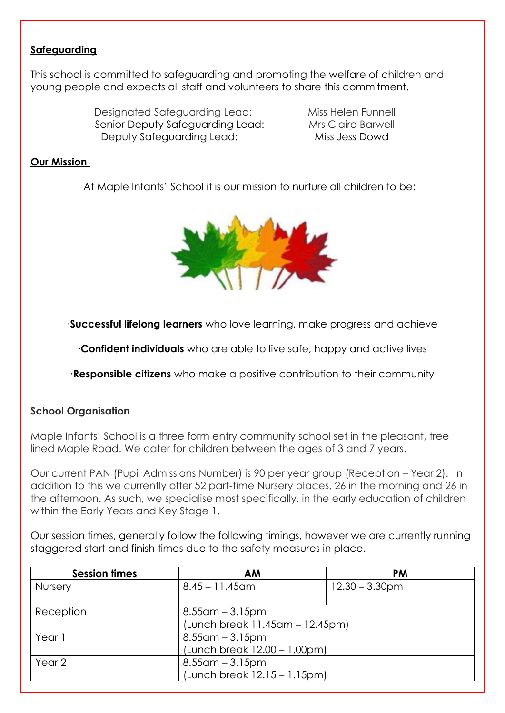## **Safeguarding**

This school is committed to safeguarding and promoting the welfare of children and young people and expects all staff and volunteers to share this commitment.

> Designated Safeguarding Lead: Miss Helen Funnell Senior Deputy Safeguarding Lead: Mrs Claire Barwell Deputy Safeguarding Lead: Miss Jess Dowd

### **Our Mission**

At Maple Infants' School it is our mission to nurture all children to be:



∙**Successful lifelong learners** who love learning, make progress and achieve

**∙Confident individuals** who are able to live safe, happy and active lives

∙**Responsible citizens** who make a positive contribution to their community

#### **School Organisation**

Maple Infants' School is a three form entry community school set in the pleasant, tree lined Maple Road. We cater for children between the ages of 3 and 7 years.

Our current PAN (Pupil Admissions Number) is 90 per year group (Reception – Year 2). In addition to this we currently offer 52 part-time Nursery places, 26 in the morning and 26 in the afternoon. As such, we specialise most specifically, in the early education of children within the Early Years and Key Stage 1.

Our session times, generally follow the following timings, however we are currently running staggered start and finish times due to the safety measures in place.

| <b>Session times</b> | AM                              | <b>PM</b>         |
|----------------------|---------------------------------|-------------------|
| Nursery              | $8.45 - 11.45$ am               | $12.30 - 3.30$ pm |
|                      |                                 |                   |
| Reception            | $8.55$ am – $3.15$ pm           |                   |
|                      | (Lunch break 11.45am - 12.45pm) |                   |
| Year 1               | $8.55$ am – $3.15$ pm           |                   |
|                      | (Lunch break 12.00 - 1.00pm)    |                   |
| Year 2               | $8.55$ am – $3.15$ pm           |                   |
|                      | (Lunch break 12.15 - 1.15pm)    |                   |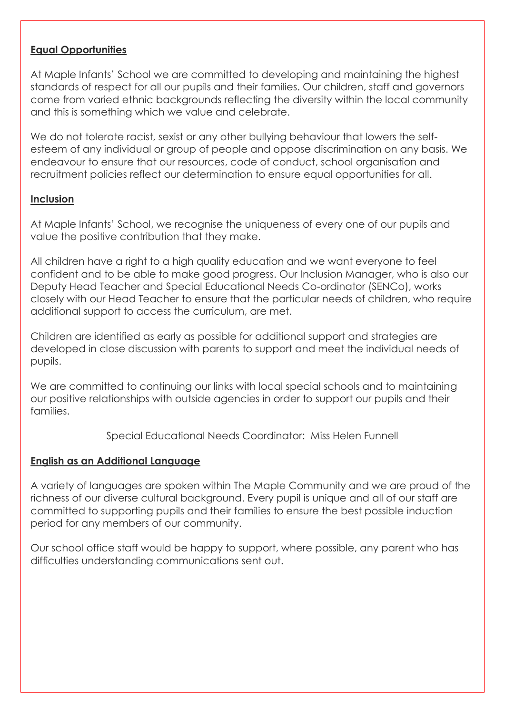#### **Equal Opportunities**

At Maple Infants' School we are committed to developing and maintaining the highest standards of respect for all our pupils and their families. Our children, staff and governors come from varied ethnic backgrounds reflecting the diversity within the local community and this is something which we value and celebrate.

We do not tolerate racist, sexist or any other bullying behaviour that lowers the selfesteem of any individual or group of people and oppose discrimination on any basis. We endeavour to ensure that our resources, code of conduct, school organisation and recruitment policies reflect our determination to ensure equal opportunities for all.

#### **Inclusion**

At Maple Infants' School, we recognise the uniqueness of every one of our pupils and value the positive contribution that they make.

All children have a right to a high quality education and we want everyone to feel confident and to be able to make good progress. Our Inclusion Manager, who is also our Deputy Head Teacher and Special Educational Needs Co-ordinator (SENCo), works closely with our Head Teacher to ensure that the particular needs of children, who require additional support to access the curriculum, are met.

Children are identified as early as possible for additional support and strategies are developed in close discussion with parents to support and meet the individual needs of pupils.

We are committed to continuing our links with local special schools and to maintaining our positive relationships with outside agencies in order to support our pupils and their families.

Special Educational Needs Coordinator: Miss Helen Funnell

#### **English as an Additional Language**

A variety of languages are spoken within The Maple Community and we are proud of the richness of our diverse cultural background. Every pupil is unique and all of our staff are committed to supporting pupils and their families to ensure the best possible induction period for any members of our community.

Our school office staff would be happy to support, where possible, any parent who has difficulties understanding communications sent out.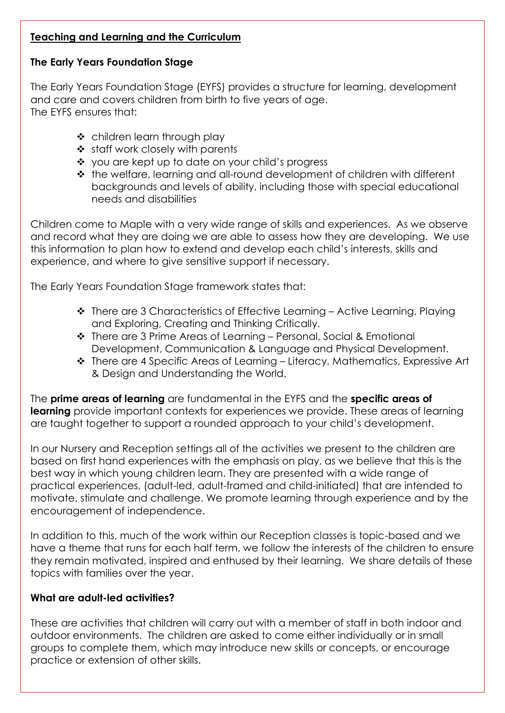# **Teaching and Learning and the Curriculum**

# **The Early Years Foundation Stage**

The Early Years Foundation Stage (EYFS) provides a structure for learning, development and care and covers children from birth to five years of age. The EYFS ensures that:

- children learn through play
- ❖ staff work closely with parents
- ❖ you are kept up to date on your child's progress
- the welfare, learning and all-round development of children with different backgrounds and levels of ability, including those with special educational needs and disabilities

Children come to Maple with a very wide range of skills and experiences. As we observe and record what they are doing we are able to assess how they are developing. We use this information to plan how to extend and develop each child's interests, skills and experience, and where to give sensitive support if necessary.

The Early Years Foundation Stage framework states that:

- There are 3 Characteristics of Effective Learning Active Learning, Playing and Exploring, Creating and Thinking Critically.
- There are 3 Prime Areas of Learning Personal, Social & Emotional Development, Communication & Language and Physical Development.
- There are 4 Specific Areas of Learning Literacy, Mathematics, Expressive Art & Design and Understanding the World.

The **prime areas of learning** are fundamental in the EYFS and the **specific areas of learning** provide important contexts for experiences we provide. These areas of learning are taught together to support a rounded approach to your child's development.

In our Nursery and Reception settings all of the activities we present to the children are based on first hand experiences with the emphasis on play, as we believe that this is the best way in which young children learn. They are presented with a wide range of practical experiences, (adult-led, adult-framed and child-initiated) that are intended to motivate, stimulate and challenge. We promote learning through experience and by the encouragement of independence.

In addition to this, much of the work within our Reception classes is topic-based and we have a theme that runs for each half term, we follow the interests of the children to ensure they remain motivated, inspired and enthused by their learning. We share details of these topics with families over the year.

# **What are adult-led activities?**

These are activities that children will carry out with a member of staff in both indoor and outdoor environments. The children are asked to come either individually or in small groups to complete them, which may introduce new skills or concepts, or encourage practice or extension of other skills.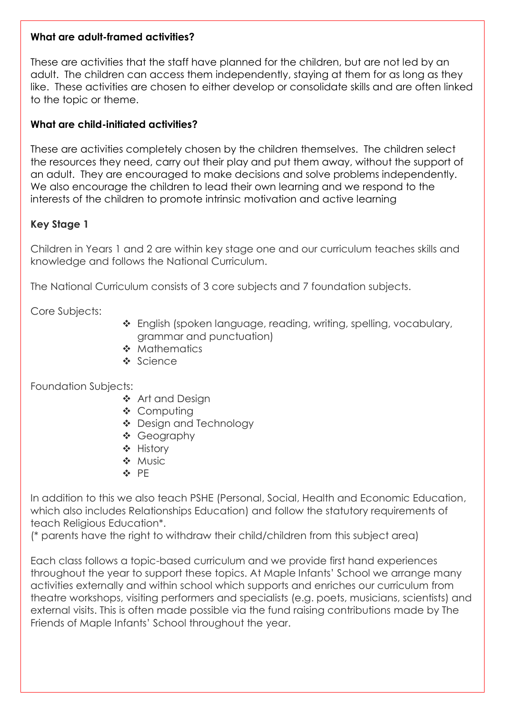#### **What are adult-framed activities?**

These are activities that the staff have planned for the children, but are not led by an adult. The children can access them independently, staying at them for as long as they like. These activities are chosen to either develop or consolidate skills and are often linked to the topic or theme.

# **What are child-initiated activities?**

These are activities completely chosen by the children themselves. The children select the resources they need, carry out their play and put them away, without the support of an adult. They are encouraged to make decisions and solve problems independently. We also encourage the children to lead their own learning and we respond to the interests of the children to promote intrinsic motivation and active learning

# **Key Stage 1**

Children in Years 1 and 2 are within key stage one and our curriculum teaches skills and knowledge and follows the National Curriculum.

The National Curriculum consists of 3 core subjects and 7 foundation subjects.

Core Subjects:

- \* English (spoken language, reading, writing, spelling, vocabulary, grammar and punctuation)
- **Mathematics**
- ❖ Science

Foundation Subjects:

- ❖ Art and Desian
- ❖ Computing
- Design and Technology
- Geography
- History
- ❖ Music
- **☆ PF**

In addition to this we also teach PSHE (Personal, Social, Health and Economic Education, which also includes Relationships Education) and follow the statutory requirements of teach Religious Education\*.

(\* parents have the right to withdraw their child/children from this subject area)

Each class follows a topic-based curriculum and we provide first hand experiences throughout the year to support these topics. At Maple Infants' School we arrange many activities externally and within school which supports and enriches our curriculum from theatre workshops, visiting performers and specialists (e.g. poets, musicians, scientists) and external visits. This is often made possible via the fund raising contributions made by The Friends of Maple Infants' School throughout the year.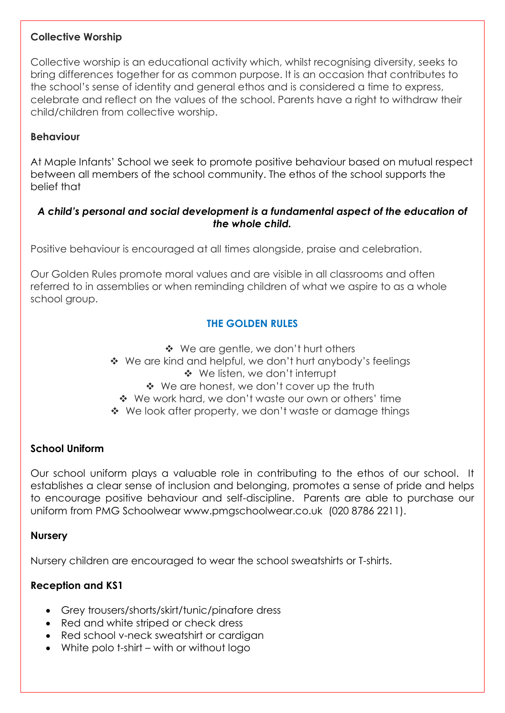### **Collective Worship**

Collective worship is an educational activity which, whilst recognising diversity, seeks to bring differences together for as common purpose. It is an occasion that contributes to the school's sense of identity and general ethos and is considered a time to express, celebrate and reflect on the values of the school. Parents have a right to withdraw their child/children from collective worship.

### **Behaviour**

At Maple Infants' School we seek to promote positive behaviour based on mutual respect between all members of the school community. The ethos of the school supports the belief that

### *A child's personal and social development is a fundamental aspect of the education of the whole child.*

Positive behaviour is encouraged at all times alongside, praise and celebration.

Our Golden Rules promote moral values and are visible in all classrooms and often referred to in assemblies or when reminding children of what we aspire to as a whole school group.

# **THE GOLDEN RULES**

- ◆ We are gentle, we don't hurt others
- ◆ We are kind and helpful, we don't hurt anybody's feelings
	- We listen, we don't interrupt
	- ◆ We are honest, we don't cover up the truth
	- \* We work hard, we don't waste our own or others' time
- ◆ We look after property, we don't waste or damage things

#### **School Uniform**

Our school uniform plays a valuable role in contributing to the ethos of our school. It establishes a clear sense of inclusion and belonging, promotes a sense of pride and helps to encourage positive behaviour and self-discipline. Parents are able to purchase our uniform from PMG Schoolwear [www.pmgschoolwear.co.uk](http://www.pmgschoolwear.co.uk/) (020 8786 2211).

#### **Nursery**

Nursery children are encouraged to wear the school sweatshirts or T-shirts.

# **Reception and KS1**

- Grey trousers/shorts/skirt/tunic/pinafore dress
- Red and white striped or check dress
- Red school v-neck sweatshirt or cardigan
- White polo t-shirt with or without logo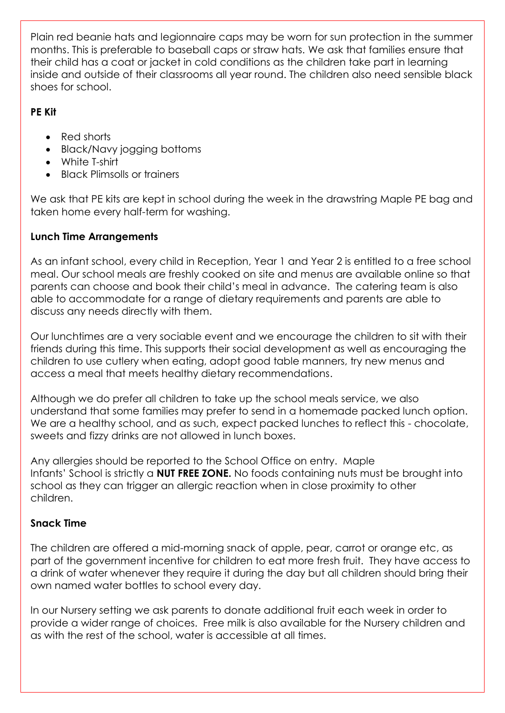Plain red beanie hats and legionnaire caps may be worn for sun protection in the summer months. This is preferable to baseball caps or straw hats. We ask that families ensure that their child has a coat or jacket in cold conditions as the children take part in learning inside and outside of their classrooms all year round. The children also need sensible black shoes for school.

# **PE Kit**

- Red shorts
- Black/Navy jogging bottoms
- White T-shirt
- Black Plimsolls or trainers

We ask that PE kits are kept in school during the week in the drawstring Maple PE bag and taken home every half-term for washing.

# **Lunch Time Arrangements**

As an infant school, every child in Reception, Year 1 and Year 2 is entitled to a free school meal. Our school meals are freshly cooked on site and menus are available online so that parents can choose and book their child's meal in advance. The catering team is also able to accommodate for a range of dietary requirements and parents are able to discuss any needs directly with them.

Our lunchtimes are a very sociable event and we encourage the children to sit with their friends during this time. This supports their social development as well as encouraging the children to use cutlery when eating, adopt good table manners, try new menus and access a meal that meets healthy dietary recommendations.

Although we do prefer all children to take up the school meals service, we also understand that some families may prefer to send in a homemade packed lunch option. We are a healthy school, and as such, expect packed lunches to reflect this - chocolate, sweets and fizzy drinks are not allowed in lunch boxes.

Any allergies should be reported to the School Office on entry. Maple Infants' School is strictly a **NUT FREE ZONE.** No foods containing nuts must be brought into school as they can trigger an allergic reaction when in close proximity to other children.

# **Snack Time**

The children are offered a mid-morning snack of apple, pear, carrot or orange etc, as part of the government incentive for children to eat more fresh fruit. They have access to a drink of water whenever they require it during the day but all children should bring their own named water bottles to school every day.

In our Nursery setting we ask parents to donate additional fruit each week in order to provide a wider range of choices. Free milk is also available for the Nursery children and as with the rest of the school, water is accessible at all times.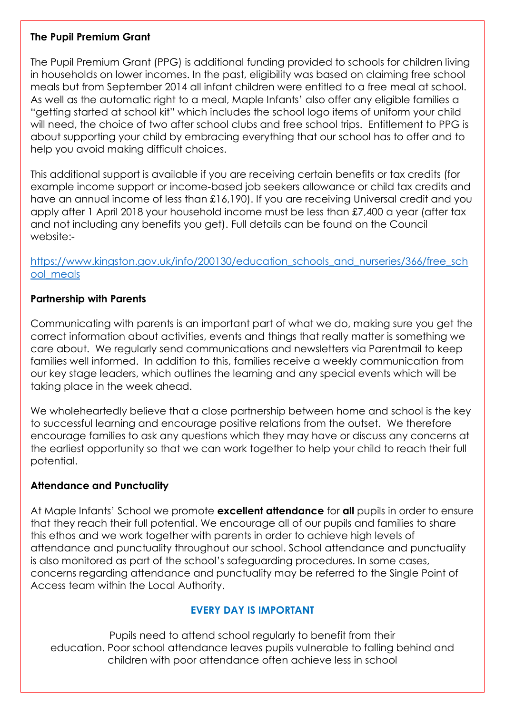### **The Pupil Premium Grant**

The Pupil Premium Grant (PPG) is additional funding provided to schools for children living in households on lower incomes. In the past, eligibility was based on claiming free school meals but from September 2014 all infant children were entitled to a free meal at school. As well as the automatic right to a meal, Maple Infants' also offer any eligible families a "getting started at school kit" which includes the school logo items of uniform your child will need, the choice of two after school clubs and free school trips. Entitlement to PPG is about supporting your child by embracing everything that our school has to offer and to help you avoid making difficult choices.

This additional support is available if you are receiving certain benefits or tax credits (for example income support or income-based job seekers allowance or child tax credits and have an annual income of less than £16,190). If you are receiving Universal credit and you apply after 1 April 2018 your household income must be less than £7,400 a year (after tax and not including any benefits you get). Full details can be found on the Council website:-

[https://www.kingston.gov.uk/info/200130/education\\_schools\\_and\\_nurseries/366/free\\_sch](https://www.kingston.gov.uk/info/200130/education_schools_and_nurseries/366/free_school_meals) [ool\\_meals](https://www.kingston.gov.uk/info/200130/education_schools_and_nurseries/366/free_school_meals)

## **Partnership with Parents**

Communicating with parents is an important part of what we do, making sure you get the correct information about activities, events and things that really matter is something we care about. We regularly send communications and newsletters via Parentmail to keep families well informed. In addition to this, families receive a weekly communication from our key stage leaders, which outlines the learning and any special events which will be taking place in the week ahead.

We wholeheartedly believe that a close partnership between home and school is the key to successful learning and encourage positive relations from the outset. We therefore encourage families to ask any questions which they may have or discuss any concerns at the earliest opportunity so that we can work together to help your child to reach their full potential.

# **Attendance and Punctuality**

At Maple Infants' School we promote **excellent attendance** for **all** pupils in order to ensure that they reach their full potential. We encourage all of our pupils and families to share this ethos and we work together with parents in order to achieve high levels of attendance and punctuality throughout our school. School attendance and punctuality is also monitored as part of the school's safeguarding procedures. In some cases, concerns regarding attendance and punctuality may be referred to the Single Point of Access team within the Local Authority.

# **EVERY DAY IS IMPORTANT**

Pupils need to attend school regularly to benefit from their education. Poor school attendance leaves pupils vulnerable to falling behind and children with poor attendance often achieve less in school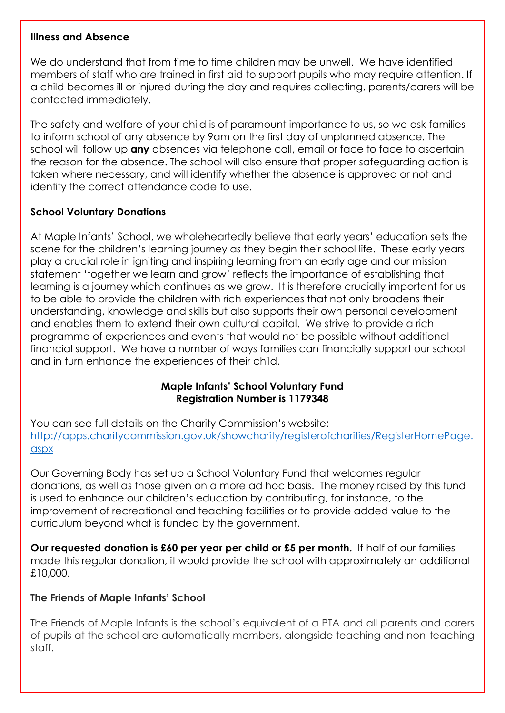#### **Illness and Absence**

We do understand that from time to time children may be unwell. We have identified members of staff who are trained in first aid to support pupils who may require attention. If a child becomes ill or injured during the day and requires collecting, parents/carers will be contacted immediately.

The safety and welfare of your child is of paramount importance to us, so we ask families to inform school of any absence by 9am on the first day of unplanned absence. The school will follow up **any** absences via telephone call, email or face to face to ascertain the reason for the absence. The school will also ensure that proper safeguarding action is taken where necessary, and will identify whether the absence is approved or not and identify the correct attendance code to use.

## **School Voluntary Donations**

At Maple Infants' School, we wholeheartedly believe that early years' education sets the scene for the children's learning journey as they begin their school life. These early years play a crucial role in igniting and inspiring learning from an early age and our mission statement 'together we learn and grow' reflects the importance of establishing that learning is a journey which continues as we grow. It is therefore crucially important for us to be able to provide the children with rich experiences that not only broadens their understanding, knowledge and skills but also supports their own personal development and enables them to extend their own cultural capital. We strive to provide a rich programme of experiences and events that would not be possible without additional financial support. We have a number of ways families can financially support our school and in turn enhance the experiences of their child.

## **Maple Infants' School Voluntary Fund Registration Number is 1179348**

You can see full details on the Charity Commission's website: [http://apps.charitycommission.gov.uk/showcharity/registerofcharities/RegisterHomePage.](http://apps.charitycommission.gov.uk/showcharity/registerofcharities/RegisterHomePage.aspx) [aspx](http://apps.charitycommission.gov.uk/showcharity/registerofcharities/RegisterHomePage.aspx)

Our Governing Body has set up a School Voluntary Fund that welcomes regular donations, as well as those given on a more ad hoc basis. The money raised by this fund is used to enhance our children's education by contributing, for instance, to the improvement of recreational and teaching facilities or to provide added value to the curriculum beyond what is funded by the government.

**Our requested donation is £60 per year per child or £5 per month.** If half of our families made this regular donation, it would provide the school with approximately an additional £10,000.

#### **The Friends of Maple Infants' School**

The Friends of Maple Infants is the school's equivalent of a PTA and all parents and carers of pupils at the school are automatically members, alongside teaching and non-teaching staff.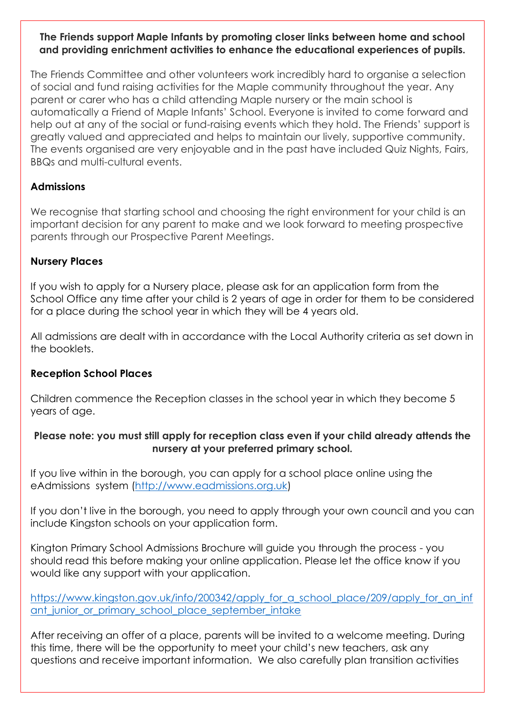### **The Friends support Maple Infants by promoting closer links between home and school and providing enrichment activities to enhance the educational experiences of pupils.**

The Friends Committee and other volunteers work incredibly hard to organise a selection of social and fund raising activities for the Maple community throughout the year. Any parent or carer who has a child attending Maple nursery or the main school is automatically a Friend of Maple Infants' School. Everyone is invited to come forward and help out at any of the social or fund-raising events which they hold. The Friends' support is greatly valued and appreciated and helps to maintain our lively, supportive community. The events organised are very enjoyable and in the past have included Quiz Nights, Fairs, BBQs and multi-cultural events.

# **Admissions**

We recognise that starting school and choosing the right environment for your child is an important decision for any parent to make and we look forward to meeting prospective parents through our Prospective Parent Meetings.

## **Nursery Places**

If you wish to apply for a Nursery place, please ask for an application form from the School Office any time after your child is 2 years of age in order for them to be considered for a place during the school year in which they will be 4 years old.

All admissions are dealt with in accordance with the Local Authority criteria as set down in the booklets.

#### **Reception School Places**

Children commence the Reception classes in the school year in which they become 5 years of age.

## **Please note: you must still apply for reception class even if your child already attends the nursery at your preferred primary school.**

If you live within in the borough, you can apply for a school place online using the eAdmissions system [\(http://www.eadmissions.org.uk\)](http://www.eadmissions.org.uk/)

If you don't live in the borough, you need to apply through your own council and you can include Kingston schools on your application form.

Kington Primary School Admissions Brochure will guide you through the process - you should read this before making your online application. Please let the office know if you would like any support with your application.

https://www.kingston.gov.uk/info/200342/apply for a school place/209/apply for an inf [ant\\_junior\\_or\\_primary\\_school\\_place\\_september\\_intake](https://www.kingston.gov.uk/info/200342/apply_for_a_school_place/209/apply_for_an_infant_junior_or_primary_school_place_september_intake)

After receiving an offer of a place, parents will be invited to a welcome meeting. During this time, there will be the opportunity to meet your child's new teachers, ask any questions and receive important information. We also carefully plan transition activities